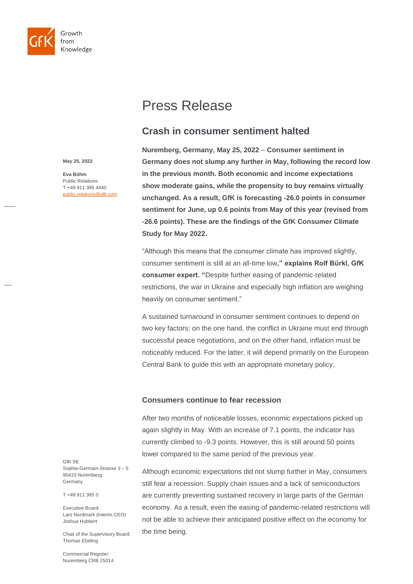

# Press Release

## **Crash in consumer sentiment halted**

**May 25, 2022**

**Eva Böhm** Public Relations T +49 911 395 4440 public.relations@gfk.com **Nuremberg, Germany, May 25, 2022** – **Consumer sentiment in Germany does not slump any further in May, following the record low in the previous month. Both economic and income expectations show moderate gains, while the propensity to buy remains virtually unchanged. As a result, GfK is forecasting -26.0 points in consumer sentiment for June, up 0.6 points from May of this year (revised from -26.6 points). These are the findings of the GfK Consumer Climate Study for May 2022.** 

"Although this means that the consumer climate has improved slightly, consumer sentiment is still at an all-time low**," explains Rolf Bürkl, GfK consumer expert. "**Despite further easing of pandemic-related restrictions, the war in Ukraine and especially high inflation are weighing heavily on consumer sentiment."

A sustained turnaround in consumer sentiment continues to depend on two key factors: on the one hand, the conflict in Ukraine must end through successful peace negotiations, and on the other hand, inflation must be noticeably reduced. For the latter, it will depend primarily on the European Central Bank to guide this with an appropriate monetary policy.

## **Consumers continue to fear recession**

After two months of noticeable losses, economic expectations picked up again slightly in May. With an increase of 7.1 points, the indicator has currently climbed to -9.3 points. However, this is still around 50 points lower compared to the same period of the previous year.

Although economic expectations did not slump further in May, consumers still fear a recession. Supply chain issues and a lack of semiconductors are currently preventing sustained recovery in large parts of the German economy. As a result, even the easing of pandemic-related restrictions will not be able to achieve their anticipated positive effect on the economy for the time being.

GfK SE Sophie-Germain-Strasse 3 – 5 90433 Nuremberg Germany

T +49 911 395 0

Executive Board: Lars Nordmark (interim CEO) Joshua Hubbert

Chair of the Supervisory Board: Thomas Ebeling

Commercial Register: Nuremberg CRB 25014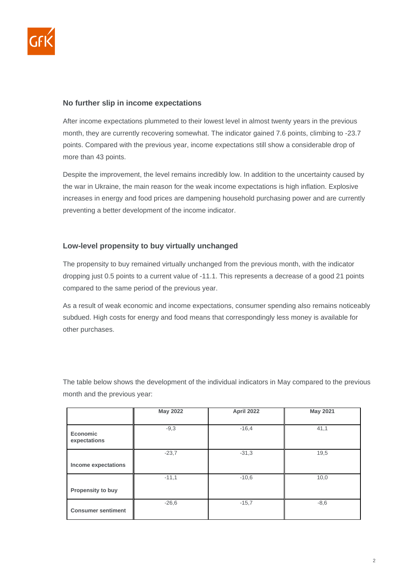

## **No further slip in income expectations**

After income expectations plummeted to their lowest level in almost twenty years in the previous month, they are currently recovering somewhat. The indicator gained 7.6 points, climbing to -23.7 points. Compared with the previous year, income expectations still show a considerable drop of more than 43 points.

Despite the improvement, the level remains incredibly low. In addition to the uncertainty caused by the war in Ukraine, the main reason for the weak income expectations is high inflation. Explosive increases in energy and food prices are dampening household purchasing power and are currently preventing a better development of the income indicator.

## **Low-level propensity to buy virtually unchanged**

The propensity to buy remained virtually unchanged from the previous month, with the indicator dropping just 0.5 points to a current value of -11.1. This represents a decrease of a good 21 points compared to the same period of the previous year.

As a result of weak economic and income expectations, consumer spending also remains noticeably subdued. High costs for energy and food means that correspondingly less money is available for other purchases.

The table below shows the development of the individual indicators in May compared to the previous month and the previous year:

|                                 | <b>May 2022</b> | April 2022 | <b>May 2021</b> |
|---------------------------------|-----------------|------------|-----------------|
|                                 |                 |            |                 |
| <b>Economic</b><br>expectations | $-9,3$          | $-16,4$    | 41,1            |
|                                 | $-23.7$         | $-31,3$    | 19,5            |
| Income expectations             |                 |            |                 |
|                                 | $-11,1$         | $-10,6$    | 10,0            |
| Propensity to buy               |                 |            |                 |
| <b>Consumer sentiment</b>       | $-26,6$         | $-15,7$    | $-8,6$          |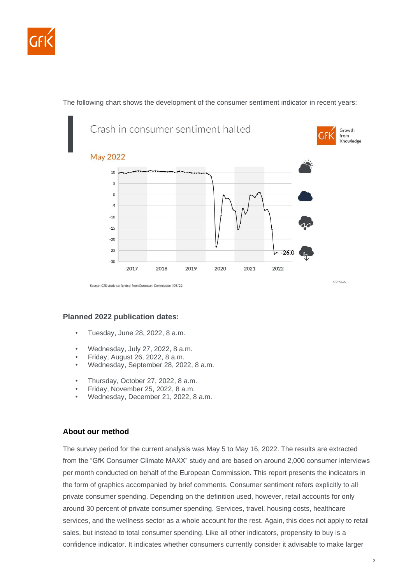

The following chart shows the development of the consumer sentiment indicator in recent years:



## **Planned 2022 publication dates:**

- Tuesday, June 28, 2022, 8 a.m.
- Wednesday, July 27, 2022, 8 a.m.
- Friday, August 26, 2022, 8 a.m.
- Wednesday, September 28, 2022, 8 a.m.
- Thursday, October 27, 2022, 8 a.m.
- Friday, November 25, 2022, 8 a.m.
- Wednesday, December 21, 2022, 8 a.m.

## **About our method**

The survey period for the current analysis was May 5 to May 16, 2022. The results are extracted from the "GfK Consumer Climate MAXX" study and are based on around 2,000 consumer interviews per month conducted on behalf of the European Commission. This report presents the indicators in the form of graphics accompanied by brief comments. Consumer sentiment refers explicitly to all private consumer spending. Depending on the definition used, however, retail accounts for only around 30 percent of private consumer spending. Services, travel, housing costs, healthcare services, and the wellness sector as a whole account for the rest. Again, this does not apply to retail sales, but instead to total consumer spending. Like all other indicators, propensity to buy is a confidence indicator. It indicates whether consumers currently consider it advisable to make larger